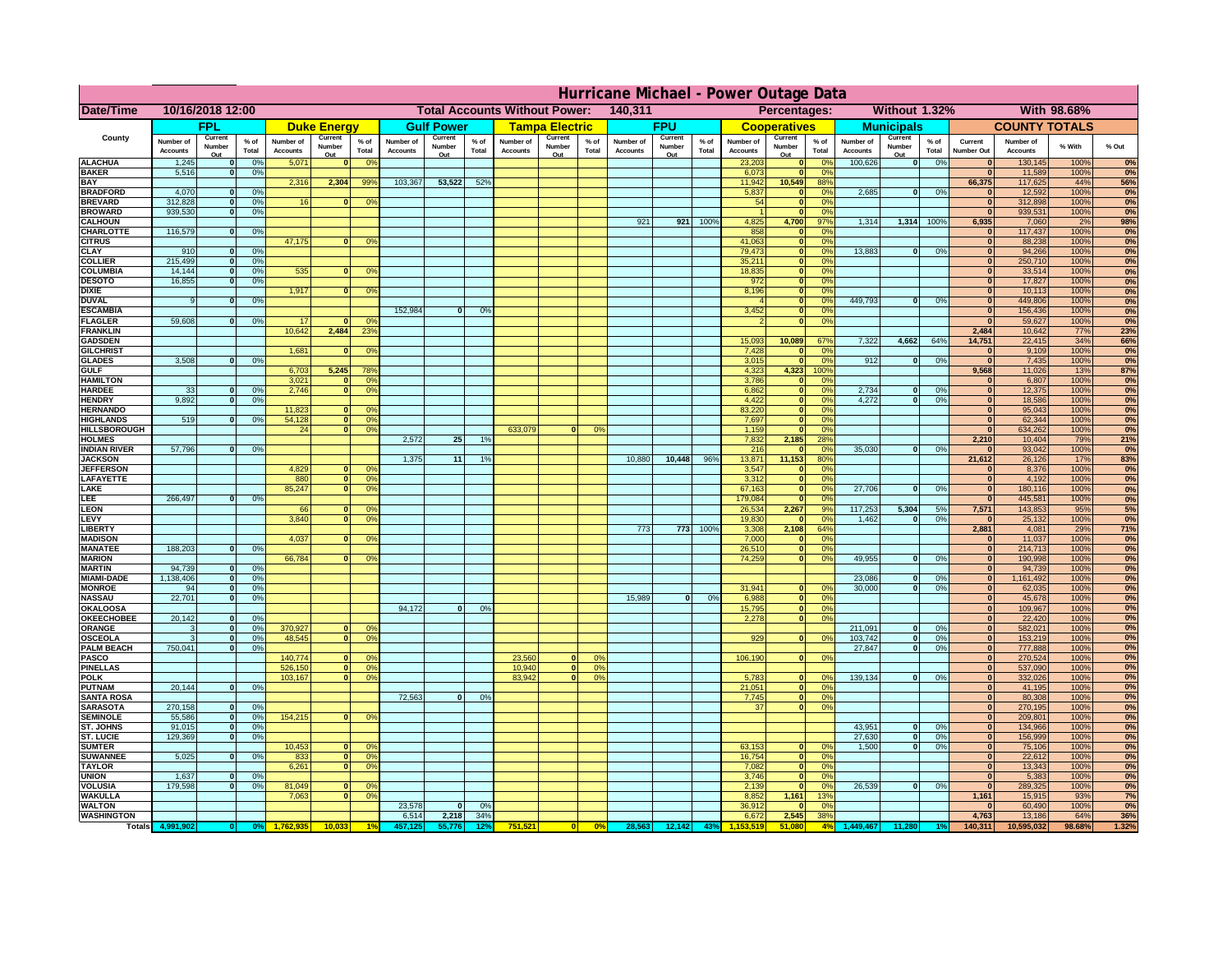|                                      | Hurricane Michael - Power Outage Data |                          |                      |                              |                          |                                                 |                              |                          |                 |                                              |                          |                 |                              |                          |                      |                              |                                                    |                             |                              |                          |               |                                  |                              |              |           |
|--------------------------------------|---------------------------------------|--------------------------|----------------------|------------------------------|--------------------------|-------------------------------------------------|------------------------------|--------------------------|-----------------|----------------------------------------------|--------------------------|-----------------|------------------------------|--------------------------|----------------------|------------------------------|----------------------------------------------------|-----------------------------|------------------------------|--------------------------|---------------|----------------------------------|------------------------------|--------------|-----------|
| Date/Time                            | 10/16/2018 12:00                      |                          |                      |                              |                          | <b>Total Accounts Without Power:</b><br>140,311 |                              |                          |                 | Without 1.32%<br>With 98.68%<br>Percentages: |                          |                 |                              |                          |                      |                              |                                                    |                             |                              |                          |               |                                  |                              |              |           |
|                                      | <b>FPL</b>                            |                          | <b>Duke Energy</b>   |                              | <b>Gulf Power</b>        |                                                 | <b>Tampa Electric</b>        |                          | <b>FPU</b>      |                                              | <b>Cooperatives</b>      |                 | <b>Municipals</b>            |                          | <b>COUNTY TOTALS</b> |                              |                                                    |                             |                              |                          |               |                                  |                              |              |           |
| County                               | Number of<br><b>Accounts</b>          | Current<br>Number<br>Out | $%$ of<br>Total      | Number of<br><b>Accounts</b> | Current<br>Number<br>Out | $%$ of<br>Total                                 | Number of<br><b>Accounts</b> | Current<br>Number<br>Out | $%$ of<br>Total | Number of<br><b>Accounts</b>                 | Current<br>Number<br>Out | $%$ of<br>Total | Number of<br><b>Accounts</b> | Current<br>Number<br>Out | % of<br>Total        | Number of<br><b>Accounts</b> | Current<br>Number<br>Out                           | $%$ of<br>Total             | Number of<br><b>Accounts</b> | Current<br>Number<br>Out | % of<br>Total | Current<br>Number Out            | Number of<br><b>Accounts</b> | % With       | % Out     |
| <b>ALACHUA</b>                       | 1,245                                 | $\bf{0}$                 | 0%                   | 5,071                        |                          | 0 <sup>o</sup>                                  |                              |                          |                 |                                              |                          |                 |                              |                          |                      | 23,203                       | $\mathbf{0}$                                       | 0 <sup>6</sup>              | 100,626                      | 0                        | 0%            |                                  | 130,145                      | 100%         | 0%        |
| <b>BAKER</b><br><b>BAY</b>           | 5,516                                 | $\mathbf{0}$             | 0%                   | 2,316                        | 2,304                    | 99%                                             | 103,367                      | 53,522                   | 52%             |                                              |                          |                 |                              |                          |                      | 6,073<br>11,942              | $\mathbf{0}$<br>10,549                             | 0 <sup>9</sup><br>88%       |                              |                          |               | $\bf{0}$<br>66,375               | 11,589<br>117,625            | 100%<br>44%  | 0%<br>56% |
| <b>BRADFORD</b>                      | 4,070                                 | $\mathbf{0}$             | 0%                   |                              |                          |                                                 |                              |                          |                 |                                              |                          |                 |                              |                          |                      | 5,837                        | $\bf{0}$                                           | 0 <sup>9</sup>              | 2,685                        | 0                        | 0%            |                                  | 12,592                       | 100%         | 0%        |
| <b>BREVARD</b>                       | 312,828                               | $\mathbf 0$              | 0%                   | 16                           |                          | 0 <sup>o</sup>                                  |                              |                          |                 |                                              |                          |                 |                              |                          |                      | 54                           | 0                                                  | 0 <sup>9</sup>              |                              |                          |               | $\mathbf{0}$                     | 312,898                      | 100%         | 0%        |
| <b>BROWARD</b>                       | 939.530                               | $\mathbf{0}$             | 0%                   |                              |                          |                                                 |                              |                          |                 |                                              |                          |                 |                              |                          |                      |                              | $\mathbf{0}$                                       | 0%                          |                              |                          |               | $\Omega$                         | 939,531                      | 100%         | 0%        |
| <b>CALHOUN</b><br>CHARLOTTE          | 116,579                               | $\Omega$                 | 0%                   |                              |                          |                                                 |                              |                          |                 |                                              |                          |                 | 921                          | 921                      | 100%                 | 4,825<br>858                 | 4,700<br>$\mathbf{0}$                              | 97%<br>0%                   | 1,314                        |                          | 1,314 100%    | 6,935<br>$\Omega$                | 7,060<br>117,437             | 2%<br>100%   | 98%<br>0% |
| <b>CITRUS</b>                        |                                       |                          |                      | 47,175                       | $\mathbf{0}$             | 0 <sup>9</sup>                                  |                              |                          |                 |                                              |                          |                 |                              |                          |                      | 41,063                       | 0                                                  | 0%                          |                              |                          |               | $\Omega$                         | 88,238                       | 100%         | 0%        |
| <b>CLAY</b>                          | 910                                   | $\mathbf{o}$             | 0%                   |                              |                          |                                                 |                              |                          |                 |                                              |                          |                 |                              |                          |                      | 79,473                       | 0                                                  | 0%                          | 13,883                       | 0                        | 0%            | $\overline{0}$                   | 94,266                       | 100%         | 0%        |
| <b>COLLIER</b>                       | 215,499<br>14,144                     | 0                        | 0%                   | 535                          | $\mathbf{0}$             |                                                 |                              |                          |                 |                                              |                          |                 |                              |                          |                      | 35,211<br>18,835             | 0                                                  | 0%<br>0%                    |                              |                          |               | $\overline{0}$<br>$\overline{0}$ | 250,710<br>33,514            | 100%         | 0%        |
| <b>COLUMBIA</b><br><b>DESOTO</b>     | 16,855                                | 0 <br>$\Omega$           | 0%<br>0%             |                              |                          | 0 <sup>9</sup>                                  |                              |                          |                 |                                              |                          |                 |                              |                          |                      | 972                          | 0 <br> 0                                           | 0%                          |                              |                          |               | $\overline{0}$                   | 17,827                       | 100%<br>100% | 0%<br>0%  |
| <b>DIXIE</b>                         |                                       |                          |                      | 1,917                        | 0                        | 0 <sup>9</sup>                                  |                              |                          |                 |                                              |                          |                 |                              |                          |                      | 8,196                        | 0                                                  | 0%                          |                              |                          |               | 0                                | 10,113                       | 100%         | 0%        |
| <b>DUVAL</b>                         | $\overline{9}$                        | 0                        | 0%                   |                              |                          |                                                 |                              |                          |                 |                                              |                          |                 |                              |                          |                      |                              | $\overline{\mathbf{0}}$                            | 0%                          | 449.793                      | $\overline{\mathbf{0}}$  | 0%            | $\overline{0}$                   | 449,806                      | 100%         | 0%        |
| <b>ESCAMBIA</b><br><b>FLAGLER</b>    | 59.608                                | $\Omega$                 |                      | -17                          | $\Omega$                 | 0 <sup>9</sup>                                  | 152.984                      | $\overline{0}$           | 0 <sup>9</sup>  |                                              |                          |                 |                              |                          |                      | 3,452<br>$\mathcal{P}$       | $\overline{\mathbf{0}}$<br>$\overline{\mathbf{0}}$ | 0%<br>0%                    |                              |                          |               | $\overline{0}$<br>$\overline{0}$ | 156,436<br>59,627            | 100%<br>100% | 0%        |
| <b>FRANKLIN</b>                      |                                       |                          | 0%                   | 10.642                       | 2.484                    | 23 <sup>9</sup>                                 |                              |                          |                 |                                              |                          |                 |                              |                          |                      |                              |                                                    |                             |                              |                          |               | 2.484                            | 10,642                       | 77%          | 0%<br>23% |
| <b>GADSDEN</b>                       |                                       |                          |                      |                              |                          |                                                 |                              |                          |                 |                                              |                          |                 |                              |                          |                      | 15,093                       | 10,089                                             | 67%                         | 7.322                        | 4.662                    | 64%           | 14,751                           | 22,415                       | 34%          | 66%       |
| <b>GILCHRIST</b>                     |                                       |                          |                      | 1,68'                        |                          | 0 <sup>9</sup>                                  |                              |                          |                 |                                              |                          |                 |                              |                          |                      | 7,428                        | 0                                                  | 0%                          |                              |                          |               | $\overline{0}$                   | 9,109                        | 100%         | 0%        |
| <b>GLADES</b><br><b>GULF</b>         | 3,508                                 | $\mathbf{0}$             | 0%                   | 6,703                        | 5,245                    | 78%                                             |                              |                          |                 |                                              |                          |                 |                              |                          |                      | 3,015<br>4,323               | 0 <br>4,323                                        | 0%<br>100%                  | 912                          | $\mathbf{0}$             | 0%            | $\mathbf{0}$<br>9,568            | 7,435<br>11,026              | 100%<br>13%  | 0%<br>87% |
| <b>HAMILTON</b>                      |                                       |                          |                      | 3,021                        |                          | $\mathbf{0}$<br>0 <sup>9</sup>                  |                              |                          |                 |                                              |                          |                 |                              |                          |                      | 3,786                        | 0                                                  | 0%                          |                              |                          |               | $\mathbf{0}$                     | 6,807                        | 100%         | 0%        |
| <b>HARDEE</b>                        | 33                                    | $\mathbf{0}$             | 0%                   | 2,746                        |                          | 0 <br>0 <sup>9</sup>                            |                              |                          |                 |                                              |                          |                 |                              |                          |                      | 6,862                        | $\overline{0}$                                     | 0%                          | 2,734                        | $\mathbf{0}$             | 0%            | 0                                | 12,375                       | 100%         | 0%        |
| <b>HENDRY</b>                        | 9,892                                 | 0                        | 0%                   |                              |                          |                                                 |                              |                          |                 |                                              |                          |                 |                              |                          |                      | 4,422                        | $\overline{0}$                                     | 0%                          | 4,272                        | $\overline{0}$           | 0%            | 0                                | 18,586                       | 100%         | 0%        |
| <b>HERNANDO</b><br><b>HIGHLANDS</b>  | 519                                   | $\Omega$                 | 0%                   | 11,823<br>54,128             | $\mathbf{0}$             | $^{\circ}$<br> 0 <br>0 <sup>9</sup>             |                              |                          |                 |                                              |                          |                 |                              |                          |                      | 83,220<br>7,697              | $\overline{0}$<br>$\overline{0}$                   | 0%<br>0%                    |                              |                          |               | 0 <br> 0                         | 95,043<br>62,344             | 100%<br>100% | 0%<br>0%  |
| <b>HILLSBOROUGH</b>                  |                                       |                          |                      | 24                           | 0                        | 0 <sup>9</sup>                                  |                              |                          |                 | 633.079                                      |                          | 0°              |                              |                          |                      | 1,159                        | 0                                                  | 0%                          |                              |                          |               | 0                                | 634,262                      | 100%         | 0%        |
| <b>HOLMES</b>                        |                                       |                          |                      |                              |                          |                                                 | 2.572                        | 25 <sup>1</sup>          | 1%              |                                              |                          |                 |                              |                          |                      | 7,832                        | 2,185                                              | 28%                         |                              |                          |               | 2,210                            | 10,404                       | 79%          | 21%       |
| <b>INDIAN RIVER</b>                  | 57,796                                | $\Omega$                 | 0%                   |                              |                          |                                                 |                              |                          |                 |                                              |                          |                 |                              |                          |                      | 216                          | 0                                                  | 0%                          | 35,030                       | 0                        | 0%            | $\mathbf{0}$                     | 93,042                       | 100%         | 0%        |
| <b>JACKSON</b><br><b>JEFFERSON</b>   |                                       |                          |                      | 4,829                        | $\Omega$                 | O <sup>c</sup>                                  | 1,375                        | 11                       | 19              |                                              |                          |                 | 10,880                       | 10,448                   | 96%                  | 13,871<br>3,547              | 11,153<br> 0                                       | 80%<br>0%                   |                              |                          |               | 21,612<br>$\mathbf{0}$           | 26,126<br>8,376              | 17%<br>100%  | 83%<br>0% |
| <b>LAFAYETTE</b>                     |                                       |                          |                      | 880                          |                          | 0 <br>0 <sup>o</sup>                            |                              |                          |                 |                                              |                          |                 |                              |                          |                      | 3,312                        | 0                                                  | 0%                          |                              |                          |               | 0                                | 4,192                        | 100%         | 0%        |
| LAKE                                 |                                       |                          |                      | 85,247                       | $\Omega$                 | 0 <sup>9</sup>                                  |                              |                          |                 |                                              |                          |                 |                              |                          |                      | 67,163                       | 0                                                  | 0%                          | 27,706                       | $\Omega$                 | 0%            | 0                                | 180,116                      | 100%         | 0%        |
| LEE                                  | 266,497                               | $\Omega$                 | 0%                   |                              |                          |                                                 |                              |                          |                 |                                              |                          |                 |                              |                          |                      | 179,084                      | 0                                                  | 0%                          |                              |                          |               | 0                                | 445,581                      | 100%         | 0%        |
| <b>LEON</b><br>LEVY                  |                                       |                          |                      | 66<br>3,840                  | $\mathbf{0}$<br>$\Omega$ | $^{\circ}$<br>0 <sup>o</sup>                    |                              |                          |                 |                                              |                          |                 |                              |                          |                      | 26,534<br>19,830             | 2,267<br>$\mathbf{0}$                              | 9%<br>0 <sup>9</sup>        | 117,253<br>1,462             | 5,304<br>$\Omega$        | 5%<br>0%      | 7,571<br>$\mathbf{0}$            | 143,853<br>25,132            | 95%<br>100%  | 5%<br>0%  |
| <b>LIBERTY</b>                       |                                       |                          |                      |                              |                          |                                                 |                              |                          |                 |                                              |                          |                 | 773                          | 773                      | 100%                 | 3,308                        | 2,108                                              | 64%                         |                              |                          |               | 2,881                            | 4,081                        | 29%          | 71%       |
| <b>MADISON</b>                       |                                       |                          |                      | 4,037                        | $\Omega$                 | 0 <sup>o</sup>                                  |                              |                          |                 |                                              |                          |                 |                              |                          |                      | 7,000                        | 0                                                  | 0%                          |                              |                          |               | 0                                | 11,037                       | 100%         | 0%        |
| <b>MANATEE</b>                       | 188,203                               | 0                        | 0%                   |                              |                          |                                                 |                              |                          |                 |                                              |                          |                 |                              |                          |                      | 26,510                       | 0                                                  | 0%                          |                              |                          |               | 0                                | 214,713                      | 100%         | 0%        |
| <b>MARION</b><br><b>MARTIN</b>       | 94,739                                | 0                        | 0%                   | 66,784                       | $\Omega$                 | 0 <sup>9</sup>                                  |                              |                          |                 |                                              |                          |                 |                              |                          |                      | 74,259                       | 0                                                  | 0%                          | 49,955                       | ol                       | 0%            | 0 <br> 0                         | 190,998<br>94,739            | 100%<br>100% | 0%<br>0%  |
| <b>MIAMI-DADE</b>                    | 1,138,406                             | 0                        | 0%                   |                              |                          |                                                 |                              |                          |                 |                                              |                          |                 |                              |                          |                      |                              |                                                    |                             | 23,086                       | $\mathbf{0}$             | 0%            | 0                                | 1,161,492                    | 100%         | 0%        |
| <b>MONROE</b>                        | 94                                    | 0                        | 0%                   |                              |                          |                                                 |                              |                          |                 |                                              |                          |                 |                              |                          |                      | 31,941                       |                                                    | 0 <br>$\Omega$ <sup>o</sup> | 30,000                       | -ol                      | 0%            | 0                                | 62,035                       | 100%         | 0%        |
| <b>NASSAU</b>                        | 22,701                                | 0                        | 0%                   |                              |                          |                                                 |                              |                          |                 |                                              |                          |                 | 15,989                       | 0                        | 0%                   | 6,988                        |                                                    | 0%<br> 0                    |                              |                          |               | 0                                | 45,678                       | 100%         | 0%        |
| <b>OKALOOSA</b><br><b>OKEECHOBEE</b> | 20,142                                | 0                        | 0%                   |                              |                          |                                                 | 94,172                       | $\mathbf{0}$             | 0%              |                                              |                          |                 |                              |                          |                      | 15,795<br>2,278              |                                                    | 0 <br>0%<br>0%<br> 0        |                              |                          |               | 0 <br> 0                         | 109,967<br>22,420            | 100%<br>100% | 0%<br>0%  |
| <b>ORANGE</b>                        | 3                                     | 0                        | 0%                   | 370,927                      | $\Omega$                 | 0 <sup>o</sup>                                  |                              |                          |                 |                                              |                          |                 |                              |                          |                      |                              |                                                    |                             | 211,091                      | $\overline{0}$           | 0%            | 0                                | 582,021                      | 100%         | 0%        |
| <b>OSCEOLA</b>                       |                                       |                          | 0 <br>0 <sup>9</sup> | 48,545                       | $\Omega$                 | 0 <sup>9</sup>                                  |                              |                          |                 |                                              |                          |                 |                              |                          |                      | 929                          |                                                    | 0 <br>0%                    | 103,742                      | 0                        | 0%            | 0                                | 153,219                      | 100%         | 0%        |
| <b>PALM BEACH</b>                    | 750,041                               |                          | 0%<br> 0             |                              |                          |                                                 |                              |                          |                 |                                              | $\Omega$                 |                 |                              |                          |                      |                              |                                                    |                             | 27,847                       | 0                        | 0%            | 0                                | 777,888                      | 100%         | 0%        |
| <b>PASCO</b><br><b>PINELLAS</b>      |                                       |                          |                      | 140,774<br>526,150           | $\mathbf{0}$             | 0 <sup>o</sup><br>0 <sup>9</sup><br> 0          |                              |                          |                 | 23,560<br>10,940                             | $\mathbf{0}$             | 0%<br>0%        |                              |                          |                      | 106,190                      |                                                    | 0 <br>0%                    |                              |                          |               | 0 <br>$\mathbf{0}$               | 270,524<br>537,090           | 100%<br>100% | 0%<br>0%  |
| <b>POLK</b>                          |                                       |                          |                      | 103,167                      |                          | 0 <sup>9</sup><br> 0                            |                              |                          |                 | 83,942                                       | $\mathbf{0}$             | 0%              |                              |                          |                      | 5,783                        | 0                                                  | 0 <sup>9</sup>              | 139,134                      | 0                        | 0%            | $\mathbf{0}$                     | 332,026                      | 100%         | 0%        |
| <b>PUTNAM</b>                        | 20,144                                |                          | 0%<br> 0             |                              |                          |                                                 |                              |                          |                 |                                              |                          |                 |                              |                          |                      | 21,051                       | 0                                                  | 0%                          |                              |                          |               | $\mathbf{0}$                     | 41,195                       | 100%         | 0%        |
| <b>SANTA ROSA</b>                    | 270,158                               | 0                        | 0%                   |                              |                          |                                                 | 72,563                       | $\mathbf{0}$             | 0%              |                                              |                          |                 |                              |                          |                      | 7,745                        |                                                    | 0 <br>0%<br>0%              |                              |                          |               | $\mathbf{0}$<br>$\mathbf{0}$     | 80,308                       | 100%<br>100% | 0%        |
| <b>SARASOTA</b><br><b>SEMINOLE</b>   | 55.586                                | 0                        | 0%                   | 154,215                      |                          | 0 <sup>9</sup><br>$\mathbf{0}$                  |                              |                          |                 |                                              |                          |                 |                              |                          |                      | 37                           |                                                    | 0                           |                              |                          |               | 0                                | 270,195<br>209,801           | 100%         | 0%<br>0%  |
| ST. JOHNS                            | 91.015                                | 0                        | 0%                   |                              |                          |                                                 |                              |                          |                 |                                              |                          |                 |                              |                          |                      |                              |                                                    |                             | 43.951                       | - O I                    | 0%            | 0                                | 134,966                      | 100%         | 0%        |
| <b>ST. LUCIE</b>                     | 129.369                               | $\overline{0}$           | 0%                   |                              |                          |                                                 |                              |                          |                 |                                              |                          |                 |                              |                          |                      |                              |                                                    |                             | 27.630                       | - O I                    | 0%            | 0                                | 156.999                      | 100%         | 0%        |
| <b>SUMTER</b>                        |                                       |                          |                      | 10,453                       |                          | 0 <br>0 <sup>9</sup>                            |                              |                          |                 |                                              |                          |                 |                              |                          |                      | 63,153                       | 0                                                  | 0%                          | 1,500                        | 0                        | 0%            | 0                                | 75,106                       | 100%         | 0%        |
| <b>SUWANNEE</b><br><b>TAYLOR</b>     | 5,025                                 | 0                        | 0%                   | 833<br>6,261                 | 0                        | 0 <sup>o</sup><br> 0 <br>0 <sup>9</sup>         |                              |                          |                 |                                              |                          |                 |                              |                          |                      | 16,754<br>7,082              | 0 <br> 0                                           | 0%<br>0%                    |                              |                          |               | $\bf{0}$<br>$\bf{0}$             | 22,612<br>13,343             | 100%<br>100% | 0%<br>0%  |
| <b>UNION</b>                         | 1,637                                 | $\mathbf{0}$             | 0%                   |                              |                          |                                                 |                              |                          |                 |                                              |                          |                 |                              |                          |                      | 3,746                        | 0                                                  | 0%                          |                              |                          |               | $\bf{0}$                         | 5,383                        | 100%         | 0%        |
| <b>VOLUSIA</b>                       | 179,598                               | 0                        | 0%                   | 81,049                       | $\mathbf{0}$             | $\mathbf{0}$                                    |                              |                          |                 |                                              |                          |                 |                              |                          |                      | 2,139                        | 0                                                  | 0%                          | 26,539                       | 0                        | 0%            | $\mathbf{0}$                     | 289,325                      | 100%         | 0%        |
| <b>WAKULLA</b><br><b>WALTON</b>      |                                       |                          |                      | 7,063                        | $\mathbf{0}$             | 0 <sup>9</sup>                                  | 23,578                       | $\mathbf{0}$             | 0%              |                                              |                          |                 |                              |                          |                      | 8,852<br>36,912              | 1,161<br> 0                                        | 13%<br>0%                   |                              |                          |               | 1,161                            | 15,915<br>60,490             | 93%<br>100%  | 7%<br>0%  |
| <b>WASHINGTON</b>                    |                                       |                          |                      |                              |                          |                                                 | 6,514                        | 2,218                    | 34%             |                                              |                          |                 |                              |                          |                      | 6,672                        | 2,545                                              | 38%                         |                              |                          |               | 4,763                            | 13,186                       | 64%          | 36%       |
| <b>Totals</b>                        |                                       |                          |                      |                              |                          |                                                 |                              | 55.776                   | 12'             | 751,521                                      | 0                        | $\frac{1}{2}$   | 28,563 12,142                |                          | 43%                  |                              | 51,080                                             | 4%                          | ,449,467                     | 11,280                   |               | 140,311                          | 10,595,032                   | 98.68%       | 1.32%     |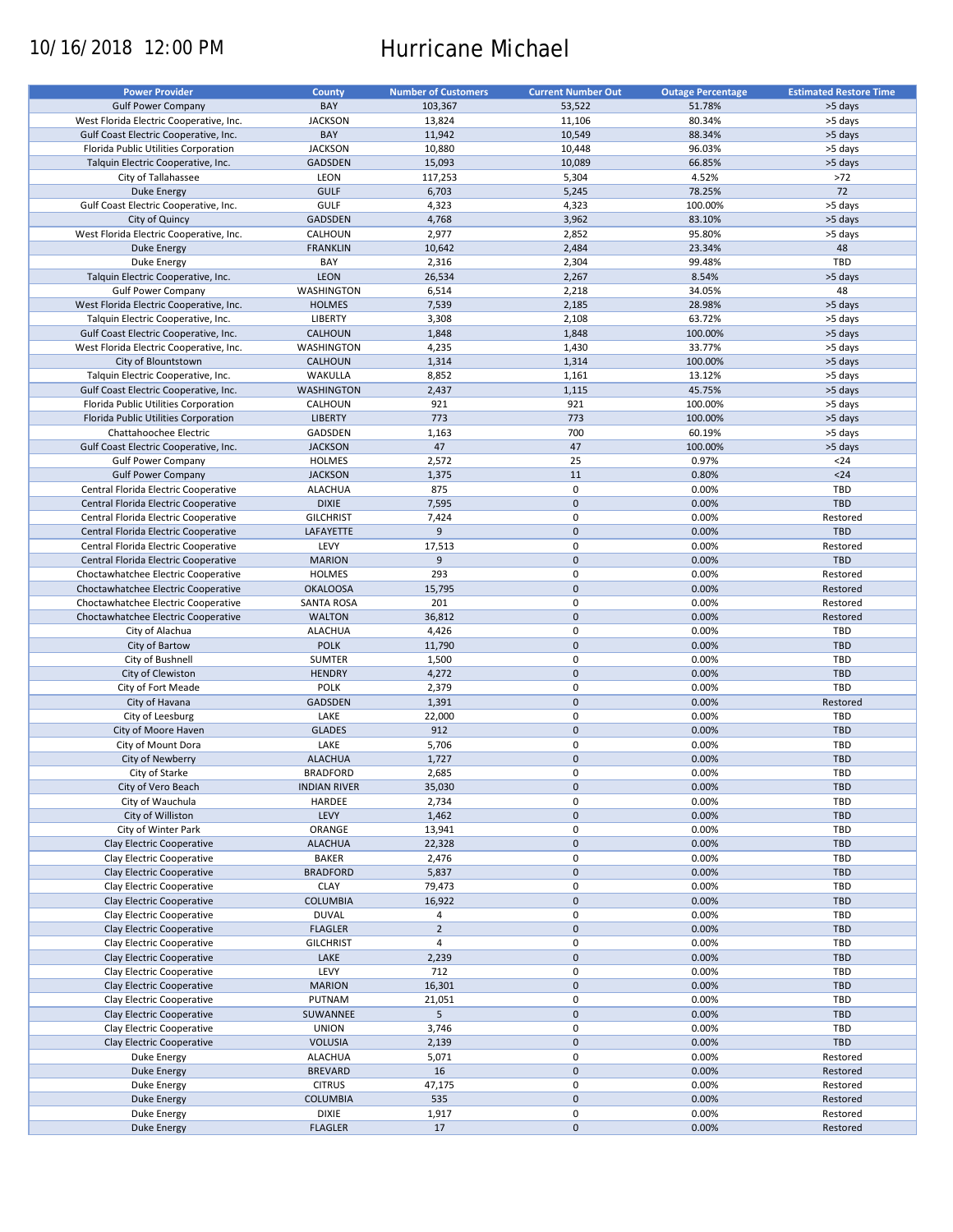# 10/16/2018 12:00 PM Hurricane Michael

| <b>Power Provider</b>                   | <b>County</b>       | <b>Number of Customers</b> | <b>Current Number Out</b> | <b>Outage Percentage</b> | <b>Estimated Restore Time</b> |
|-----------------------------------------|---------------------|----------------------------|---------------------------|--------------------------|-------------------------------|
| <b>Gulf Power Company</b>               | BAY                 |                            |                           | 51.78%                   |                               |
|                                         |                     | 103,367                    | 53,522                    |                          | >5 days                       |
| West Florida Electric Cooperative, Inc. | <b>JACKSON</b>      | 13,824                     | 11,106                    | 80.34%                   | >5 days                       |
| Gulf Coast Electric Cooperative, Inc.   | BAY                 | 11,942                     | 10,549                    | 88.34%                   | >5 days                       |
| Florida Public Utilities Corporation    | <b>JACKSON</b>      | 10,880                     | 10,448                    | 96.03%                   | >5 days                       |
| Talquin Electric Cooperative, Inc.      | <b>GADSDEN</b>      | 15,093                     | 10,089                    | 66.85%                   | >5 days                       |
| City of Tallahassee                     | LEON                | 117,253                    | 5,304                     | 4.52%                    | >72                           |
| Duke Energy                             | <b>GULF</b>         | 6,703                      | 5,245                     | 78.25%                   | 72                            |
| Gulf Coast Electric Cooperative, Inc.   | GULF                | 4,323                      | 4,323                     | 100.00%                  | >5 days                       |
| City of Quincy                          | <b>GADSDEN</b>      | 4,768                      | 3,962                     | 83.10%                   | >5 days                       |
| West Florida Electric Cooperative, Inc. | CALHOUN             | 2,977                      | 2,852                     | 95.80%                   | >5 days                       |
|                                         | <b>FRANKLIN</b>     |                            | 2,484                     | 23.34%                   | 48                            |
| <b>Duke Energy</b>                      |                     | 10,642                     |                           |                          |                               |
| Duke Energy                             | BAY                 | 2,316                      | 2,304                     | 99.48%                   | TBD                           |
| Talquin Electric Cooperative, Inc.      | LEON                | 26,534                     | 2,267                     | 8.54%                    | >5 days                       |
| <b>Gulf Power Company</b>               | WASHINGTON          | 6,514                      | 2,218                     | 34.05%                   | 48                            |
| West Florida Electric Cooperative, Inc. | <b>HOLMES</b>       | 7,539                      | 2,185                     | 28.98%                   | >5 days                       |
| Talquin Electric Cooperative, Inc.      | <b>LIBERTY</b>      | 3,308                      | 2,108                     | 63.72%                   | >5 days                       |
| Gulf Coast Electric Cooperative, Inc.   | CALHOUN             | 1,848                      | 1,848                     | 100.00%                  | >5 days                       |
| West Florida Electric Cooperative, Inc. | WASHINGTON          | 4,235                      | 1,430                     | 33.77%                   | >5 days                       |
| City of Blountstown                     | <b>CALHOUN</b>      | 1,314                      | 1,314                     | 100.00%                  | >5 days                       |
| Talquin Electric Cooperative, Inc.      | WAKULLA             | 8,852                      | 1,161                     | 13.12%                   | >5 days                       |
|                                         |                     |                            |                           |                          |                               |
| Gulf Coast Electric Cooperative, Inc.   | <b>WASHINGTON</b>   | 2,437                      | 1,115                     | 45.75%                   | >5 days                       |
| Florida Public Utilities Corporation    | CALHOUN             | 921                        | 921                       | 100.00%                  | >5 days                       |
| Florida Public Utilities Corporation    | <b>LIBERTY</b>      | 773                        | 773                       | 100.00%                  | >5 days                       |
| Chattahoochee Electric                  | GADSDEN             | 1,163                      | 700                       | 60.19%                   | >5 days                       |
| Gulf Coast Electric Cooperative, Inc.   | <b>JACKSON</b>      | 47                         | 47                        | 100.00%                  | >5 days                       |
| <b>Gulf Power Company</b>               | <b>HOLMES</b>       | 2,572                      | 25                        | 0.97%                    | $24$                          |
| <b>Gulf Power Company</b>               | <b>JACKSON</b>      | 1,375                      | 11                        | 0.80%                    | $24$                          |
| Central Florida Electric Cooperative    | <b>ALACHUA</b>      | 875                        | 0                         | 0.00%                    | <b>TBD</b>                    |
| Central Florida Electric Cooperative    | <b>DIXIE</b>        | 7,595                      | $\mathbf 0$               | 0.00%                    | <b>TBD</b>                    |
|                                         |                     |                            | $\mathbf 0$               |                          |                               |
| Central Florida Electric Cooperative    | <b>GILCHRIST</b>    | 7,424                      |                           | 0.00%                    | Restored                      |
| Central Florida Electric Cooperative    | LAFAYETTE           | 9                          | $\mathbf 0$               | 0.00%                    | <b>TBD</b>                    |
| Central Florida Electric Cooperative    | LEVY                | 17,513                     | $\mathbf 0$               | 0.00%                    | Restored                      |
| Central Florida Electric Cooperative    | <b>MARION</b>       | 9                          | $\mathbf 0$               | 0.00%                    | <b>TBD</b>                    |
| Choctawhatchee Electric Cooperative     | <b>HOLMES</b>       | 293                        | 0                         | 0.00%                    | Restored                      |
| Choctawhatchee Electric Cooperative     | <b>OKALOOSA</b>     | 15,795                     | $\mathbf 0$               | 0.00%                    | Restored                      |
| Choctawhatchee Electric Cooperative     | <b>SANTA ROSA</b>   | 201                        | $\mathbf 0$               | 0.00%                    | Restored                      |
| Choctawhatchee Electric Cooperative     | <b>WALTON</b>       | 36,812                     | $\mathbf 0$               | 0.00%                    | Restored                      |
| City of Alachua                         | <b>ALACHUA</b>      | 4,426                      | $\pmb{0}$                 | 0.00%                    | TBD                           |
| City of Bartow                          | <b>POLK</b>         | 11,790                     | $\mathbf 0$               | 0.00%                    | <b>TBD</b>                    |
|                                         | <b>SUMTER</b>       |                            | $\mathbf 0$               | 0.00%                    | TBD                           |
| City of Bushnell                        |                     | 1,500                      |                           |                          |                               |
| City of Clewiston                       | <b>HENDRY</b>       | 4,272                      | $\mathbf 0$               | 0.00%                    | <b>TBD</b>                    |
| City of Fort Meade                      | <b>POLK</b>         | 2,379                      | $\pmb{0}$                 | 0.00%                    | TBD                           |
| City of Havana                          | <b>GADSDEN</b>      | 1,391                      | $\mathbf 0$               | 0.00%                    | Restored                      |
| City of Leesburg                        | LAKE                | 22,000                     | $\mathbf 0$               | 0.00%                    | TBD                           |
| City of Moore Haven                     | <b>GLADES</b>       | 912                        | $\mathbf 0$               | 0.00%                    | <b>TBD</b>                    |
| City of Mount Dora                      | LAKE                | 5,706                      | 0                         | 0.00%                    | <b>TBD</b>                    |
| City of Newberry                        | <b>ALACHUA</b>      | 1,727                      | $\mathbf 0$               | 0.00%                    | <b>TBD</b>                    |
| City of Starke                          | <b>BRADFORD</b>     | 2,685                      | $\mathbf 0$               | 0.00%                    | TBD                           |
| City of Vero Beach                      |                     |                            | $\mathbf 0$               | 0.00%                    | <b>TBD</b>                    |
|                                         | <b>INDIAN RIVER</b> | 35,030                     |                           |                          |                               |
| City of Wauchula                        | HARDEE              | 2,734                      | 0                         | 0.00%                    | TBD                           |
| City of Williston                       | LEVY                | 1,462                      | $\mathbf 0$               | 0.00%                    | <b>TBD</b>                    |
| City of Winter Park                     | ORANGE              | 13,941                     | 0                         | 0.00%                    | TBD                           |
| Clay Electric Cooperative               | <b>ALACHUA</b>      | 22,328                     | $\mathbf 0$               | 0.00%                    | <b>TBD</b>                    |
| Clay Electric Cooperative               | <b>BAKER</b>        | 2,476                      | $\pmb{0}$                 | 0.00%                    | TBD                           |
| Clay Electric Cooperative               | <b>BRADFORD</b>     | 5,837                      | $\mathbf 0$               | 0.00%                    | <b>TBD</b>                    |
| Clay Electric Cooperative               | <b>CLAY</b>         | 79,473                     | 0                         | 0.00%                    | TBD                           |
| Clay Electric Cooperative               | <b>COLUMBIA</b>     | 16,922                     | $\mathbf 0$               | 0.00%                    | <b>TBD</b>                    |
| Clay Electric Cooperative               | <b>DUVAL</b>        | 4                          | 0                         | 0.00%                    | TBD                           |
| Clay Electric Cooperative               |                     | $\overline{2}$             | $\pmb{0}$                 | 0.00%                    |                               |
|                                         | <b>FLAGLER</b>      |                            |                           |                          | <b>TBD</b>                    |
| Clay Electric Cooperative               | <b>GILCHRIST</b>    | 4                          | $\pmb{0}$                 | 0.00%                    | TBD                           |
| Clay Electric Cooperative               | LAKE                | 2,239                      | $\mathbf 0$               | 0.00%                    | <b>TBD</b>                    |
| Clay Electric Cooperative               | LEVY                | 712                        | $\pmb{0}$                 | 0.00%                    | TBD                           |
| Clay Electric Cooperative               | <b>MARION</b>       | 16,301                     | $\pmb{0}$                 | 0.00%                    | <b>TBD</b>                    |
| Clay Electric Cooperative               | PUTNAM              | 21,051                     | 0                         | 0.00%                    | TBD                           |
| Clay Electric Cooperative               | SUWANNEE            | 5                          | $\pmb{0}$                 | 0.00%                    | <b>TBD</b>                    |
| Clay Electric Cooperative               | <b>UNION</b>        | 3,746                      | $\pmb{0}$                 | 0.00%                    | TBD                           |
| Clay Electric Cooperative               | <b>VOLUSIA</b>      | 2,139                      | $\pmb{0}$                 | 0.00%                    | <b>TBD</b>                    |
| Duke Energy                             | <b>ALACHUA</b>      | 5,071                      | $\pmb{0}$                 | 0.00%                    | Restored                      |
|                                         |                     |                            |                           |                          |                               |
| <b>Duke Energy</b>                      | <b>BREVARD</b>      | 16                         | $\pmb{0}$                 | 0.00%                    | Restored                      |
| Duke Energy                             | <b>CITRUS</b>       | 47,175                     | 0                         | 0.00%                    | Restored                      |
| <b>Duke Energy</b>                      | <b>COLUMBIA</b>     | 535                        | $\pmb{0}$                 | 0.00%                    | Restored                      |
| Duke Energy                             | <b>DIXIE</b>        | 1,917                      | 0                         | 0.00%                    | Restored                      |
| <b>Duke Energy</b>                      | <b>FLAGLER</b>      | 17                         | $\pmb{0}$                 | 0.00%                    | Restored                      |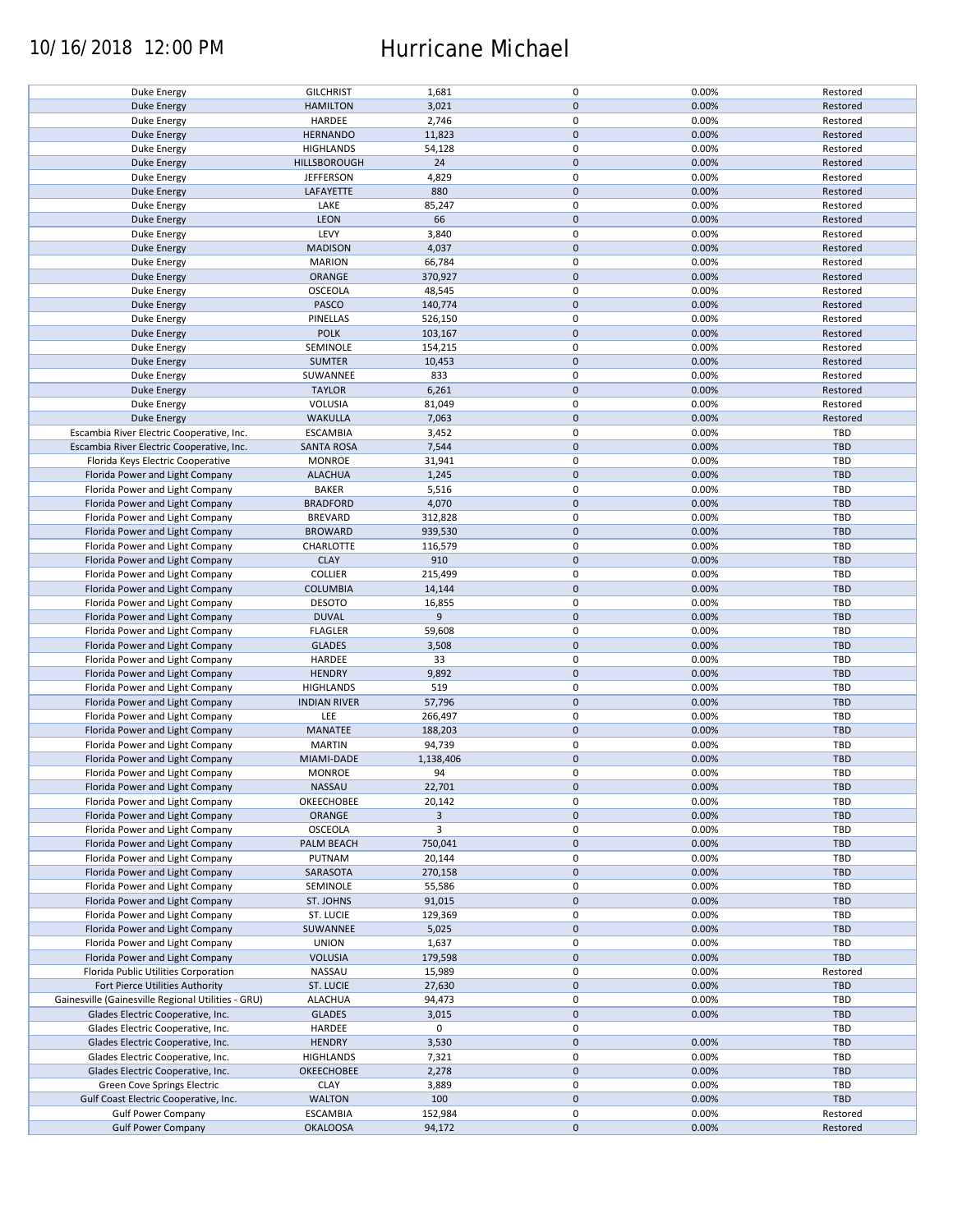### 10/16/2018 12:00 PM Hurricane Michael

| Duke Energy                                        | <b>GILCHRIST</b>    | 1,681     | $\pmb{0}$   | 0.00% | Restored   |
|----------------------------------------------------|---------------------|-----------|-------------|-------|------------|
| <b>Duke Energy</b>                                 | <b>HAMILTON</b>     | 3,021     | $\mathbf 0$ | 0.00% | Restored   |
| Duke Energy                                        | HARDEE              | 2,746     | 0           | 0.00% | Restored   |
|                                                    |                     |           | $\pmb{0}$   |       |            |
| <b>Duke Energy</b>                                 | <b>HERNANDO</b>     | 11,823    |             | 0.00% | Restored   |
| Duke Energy                                        | <b>HIGHLANDS</b>    | 54,128    | 0           | 0.00% | Restored   |
| <b>Duke Energy</b>                                 | HILLSBOROUGH        | 24        | $\pmb{0}$   | 0.00% | Restored   |
| Duke Energy                                        | <b>JEFFERSON</b>    | 4,829     | 0           | 0.00% | Restored   |
|                                                    |                     |           |             |       |            |
| <b>Duke Energy</b>                                 | LAFAYETTE           | 880       | $\pmb{0}$   | 0.00% | Restored   |
| Duke Energy                                        | LAKE                | 85,247    | 0           | 0.00% | Restored   |
| Duke Energy                                        | LEON                | 66        | $\pmb{0}$   | 0.00% | Restored   |
|                                                    |                     |           |             |       |            |
| Duke Energy                                        | LEVY                | 3,840     | 0           | 0.00% | Restored   |
| <b>Duke Energy</b>                                 | <b>MADISON</b>      | 4,037     | $\pmb{0}$   | 0.00% | Restored   |
| Duke Energy                                        | <b>MARION</b>       | 66,784    | 0           | 0.00% | Restored   |
| Duke Energy                                        | ORANGE              | 370,927   | $\mathbf 0$ | 0.00% | Restored   |
|                                                    |                     |           |             |       |            |
| Duke Energy                                        | OSCEOLA             | 48,545    | $\pmb{0}$   | 0.00% | Restored   |
| <b>Duke Energy</b>                                 | PASCO               | 140,774   | $\pmb{0}$   | 0.00% | Restored   |
| Duke Energy                                        | PINELLAS            | 526,150   | $\pmb{0}$   | 0.00% | Restored   |
|                                                    |                     |           |             |       |            |
| <b>Duke Energy</b>                                 | <b>POLK</b>         | 103,167   | $\mathbf 0$ | 0.00% | Restored   |
| Duke Energy                                        | SEMINOLE            | 154,215   | 0           | 0.00% | Restored   |
| <b>Duke Energy</b>                                 | <b>SUMTER</b>       | 10,453    | $\pmb{0}$   | 0.00% | Restored   |
|                                                    |                     |           | 0           |       |            |
| Duke Energy                                        | SUWANNEE            | 833       |             | 0.00% | Restored   |
| <b>Duke Energy</b>                                 | <b>TAYLOR</b>       | 6,261     | $\mathbf 0$ | 0.00% | Restored   |
| Duke Energy                                        | VOLUSIA             | 81,049    | 0           | 0.00% | Restored   |
| <b>Duke Energy</b>                                 | <b>WAKULLA</b>      | 7,063     | $\pmb{0}$   | 0.00% | Restored   |
|                                                    |                     |           |             |       |            |
| Escambia River Electric Cooperative, Inc.          | <b>ESCAMBIA</b>     | 3,452     | $\mathbf 0$ | 0.00% | TBD        |
| Escambia River Electric Cooperative, Inc.          | <b>SANTA ROSA</b>   | 7,544     | $\pmb{0}$   | 0.00% | <b>TBD</b> |
| Florida Keys Electric Cooperative                  | <b>MONROE</b>       | 31,941    | $\mathbf 0$ | 0.00% | TBD        |
|                                                    |                     |           |             |       |            |
| Florida Power and Light Company                    | <b>ALACHUA</b>      | 1,245     | $\pmb{0}$   | 0.00% | <b>TBD</b> |
| Florida Power and Light Company                    | <b>BAKER</b>        | 5,516     | 0           | 0.00% | TBD        |
| Florida Power and Light Company                    | <b>BRADFORD</b>     | 4,070     | $\pmb{0}$   | 0.00% | <b>TBD</b> |
|                                                    |                     |           | 0           |       | <b>TBD</b> |
| Florida Power and Light Company                    | <b>BREVARD</b>      | 312,828   |             | 0.00% |            |
| Florida Power and Light Company                    | <b>BROWARD</b>      | 939,530   | $\pmb{0}$   | 0.00% | <b>TBD</b> |
| Florida Power and Light Company                    | CHARLOTTE           | 116,579   | 0           | 0.00% | TBD        |
| Florida Power and Light Company                    | <b>CLAY</b>         | 910       | $\mathbf 0$ | 0.00% | <b>TBD</b> |
|                                                    |                     |           |             |       |            |
| Florida Power and Light Company                    | <b>COLLIER</b>      | 215,499   | 0           | 0.00% | TBD        |
| Florida Power and Light Company                    | <b>COLUMBIA</b>     | 14,144    | $\pmb{0}$   | 0.00% | <b>TBD</b> |
| Florida Power and Light Company                    | <b>DESOTO</b>       | 16,855    | 0           | 0.00% | TBD        |
|                                                    |                     |           |             |       |            |
| Florida Power and Light Company                    | <b>DUVAL</b>        | 9         | $\pmb{0}$   | 0.00% | <b>TBD</b> |
| Florida Power and Light Company                    | <b>FLAGLER</b>      | 59,608    | $\pmb{0}$   | 0.00% | <b>TBD</b> |
| Florida Power and Light Company                    | <b>GLADES</b>       | 3,508     | $\mathbf 0$ | 0.00% | <b>TBD</b> |
|                                                    |                     |           | $\pmb{0}$   |       | TBD        |
| Florida Power and Light Company                    | HARDEE              | 33        |             | 0.00% |            |
| Florida Power and Light Company                    | <b>HENDRY</b>       | 9,892     | $\mathbf 0$ | 0.00% | <b>TBD</b> |
| Florida Power and Light Company                    | <b>HIGHLANDS</b>    | 519       | $\pmb{0}$   | 0.00% | TBD        |
| Florida Power and Light Company                    | <b>INDIAN RIVER</b> | 57,796    | $\pmb{0}$   | 0.00% | <b>TBD</b> |
|                                                    |                     |           |             |       |            |
| Florida Power and Light Company                    | LEE                 | 266,497   | 0           | 0.00% | TBD        |
| Florida Power and Light Company                    | MANATEE             | 188,203   | $\pmb{0}$   | 0.00% | <b>TBD</b> |
| Florida Power and Light Company                    | <b>MARTIN</b>       | 94,739    | 0           | 0.00% | <b>TBD</b> |
|                                                    |                     |           |             |       |            |
| Florida Power and Light Company                    | <b>MIAMI-DADE</b>   | 1,138,406 | $\pmb{0}$   | 0.00% | <b>TBD</b> |
| Florida Power and Light Company                    | <b>MONROE</b>       | 94        | $\mathbf 0$ | 0.00% | TBD        |
| Florida Power and Light Company                    | NASSAU              | 22,701    | $\pmb{0}$   | 0.00% | <b>TBD</b> |
|                                                    |                     |           |             |       |            |
| Florida Power and Light Company                    | OKEECHOBEE          | 20,142    | 0           | 0.00% | TBD        |
| Florida Power and Light Company                    | ORANGE              | 3         | $\pmb{0}$   | 0.00% | <b>TBD</b> |
| Florida Power and Light Company                    | OSCEOLA             | 3         | 0           | 0.00% | TBD        |
|                                                    |                     |           |             |       | <b>TBD</b> |
| Florida Power and Light Company                    | PALM BEACH          | 750,041   | 0           | 0.00% |            |
| Florida Power and Light Company                    | PUTNAM              | 20,144    | 0           | 0.00% | TBD        |
| Florida Power and Light Company                    | SARASOTA            | 270,158   | 0           | 0.00% | <b>TBD</b> |
| Florida Power and Light Company                    | SEMINOLE            | 55,586    | 0           | 0.00% | TBD        |
|                                                    |                     |           |             |       |            |
| Florida Power and Light Company                    | ST. JOHNS           | 91,015    | $\mathbf 0$ | 0.00% | <b>TBD</b> |
| Florida Power and Light Company                    | ST. LUCIE           | 129,369   | 0           | 0.00% | TBD        |
| Florida Power and Light Company                    | SUWANNEE            | 5,025     | $\pmb{0}$   | 0.00% | <b>TBD</b> |
|                                                    |                     |           |             |       |            |
| Florida Power and Light Company                    | <b>UNION</b>        | 1,637     | 0           | 0.00% | TBD        |
| Florida Power and Light Company                    | <b>VOLUSIA</b>      | 179,598   | $\pmb{0}$   | 0.00% | <b>TBD</b> |
| Florida Public Utilities Corporation               | NASSAU              | 15,989    | $\pmb{0}$   | 0.00% | Restored   |
| Fort Pierce Utilities Authority                    | <b>ST. LUCIE</b>    | 27,630    | $\pmb{0}$   | 0.00% | <b>TBD</b> |
|                                                    |                     |           |             |       |            |
| Gainesville (Gainesville Regional Utilities - GRU) | <b>ALACHUA</b>      | 94,473    | 0           | 0.00% | TBD        |
| Glades Electric Cooperative, Inc.                  | <b>GLADES</b>       | 3,015     | $\pmb{0}$   | 0.00% | <b>TBD</b> |
| Glades Electric Cooperative, Inc.                  | HARDEE              | 0         | 0           |       | TBD        |
|                                                    |                     |           |             |       |            |
| Glades Electric Cooperative, Inc.                  | <b>HENDRY</b>       | 3,530     | $\pmb{0}$   | 0.00% | TBD        |
| Glades Electric Cooperative, Inc.                  | <b>HIGHLANDS</b>    | 7,321     | 0           | 0.00% | TBD        |
| Glades Electric Cooperative, Inc.                  | OKEECHOBEE          | 2,278     | $\pmb{0}$   | 0.00% | <b>TBD</b> |
|                                                    |                     |           |             |       |            |
| Green Cove Springs Electric                        | <b>CLAY</b>         | 3,889     | 0           | 0.00% | TBD        |
| Gulf Coast Electric Cooperative, Inc.              | <b>WALTON</b>       | 100       | $\pmb{0}$   | 0.00% | <b>TBD</b> |
| <b>Gulf Power Company</b>                          | <b>ESCAMBIA</b>     | 152,984   | 0           | 0.00% | Restored   |
| <b>Gulf Power Company</b>                          | <b>OKALOOSA</b>     | 94,172    | $\pmb{0}$   | 0.00% | Restored   |
|                                                    |                     |           |             |       |            |